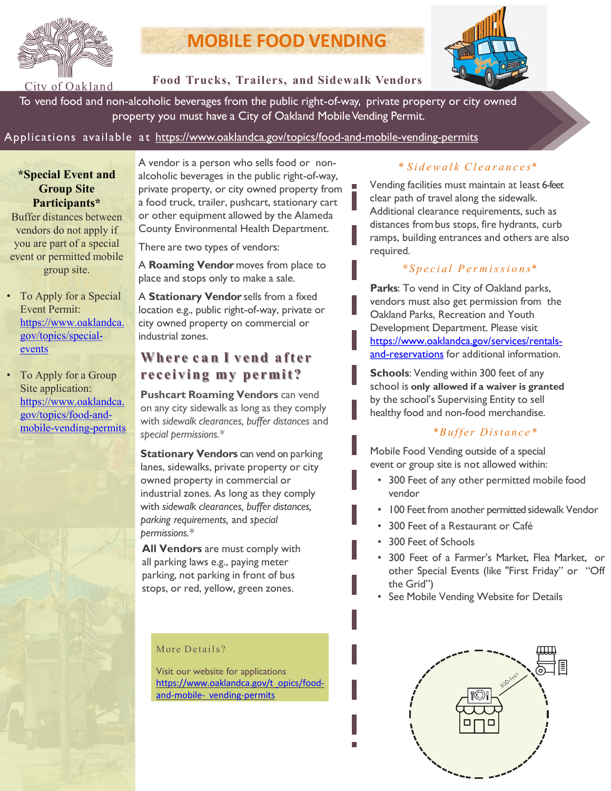

# **MOBILE FOOD VENDING**



# **Food Trucks, Trailers, and Sidewalk Vendors**

To vend food and non-alcoholic beverages from the public right-of-way, private property or city owned property you must have a City of Oakland Mobile Vending Permit.

# Applications available at <https://www.oaklandca.gov/topics/food-and-mobile-vending-permits>

# **\*Special Event and Group Site Participants\***

Buffer distances between vendors do not apply if you are part of a special event or permitted mobile group site.

- To Apply for a Special Event Permit: [https://www.oaklandca.](https://www.oaklandca.gov/topics/special-events) gov/topics/specialevents
- To Apply for a Group Site application: https://www.oaklandca. gov/topics/food-and[mobile-vending-permits](https://www.oaklandca.gov/topics/food-and-mobile-vending-permits)

A vendor is a person who sells food or nonalcoholic beverages in the public right-of-way, private property, or city owned property from a food truck, trailer, pushcart, stationary cart or other equipment allowed by the Alameda County Environmental Health Department.

There are two types of vendors:

A **Roaming Vendor** moves from place to place and stops only to make a sale.

A **Stationary Vendor** sells from a fixed location e.g., public right-of-way, private or city owned property on commercial or industrial zones.

# **Whe r e c a n I v en d after receiving my permit ?**

**Pushcart Roaming Vendors** can vend on any city sidewalk as long as they comply with *sidewalk clearances, buffer distances* and *special permissions.\**

**Stationary Vendors** can vend on parking lanes, sidewalks, private property or city owned property in commercial or industrial zones. As long as they comply with *sidewalk clearances, buffer distances, parking requirements,* and *special permissions.\**

**All Vendors** are must comply with all parking laws e.g., paying meter parking, not parking in front of bus stops, or red, yellow, green zones.

#### More Details?

Visit our website for applications [https://www.oaklandca.gov/t opics/food](https://www.oaklandca.gov/topics/food-and-mobile-vending-permits)and-mobile- vending-permits

# \* *S i d ewa l k Cl e a r a n c e s\**

Vending facilities must maintain at least 6-feet clear path of travel along the sidewalk. Additional clearance requirements, such as distances frombus stops, fire hydrants, curb ramps, building entrances and others are also required.

# *\* Special P e r m is si o n s\**

**Parks**: To vend in City of Oakland parks, vendors must also get permission from the Oakland Parks, Recreation and Youth Development Department. Please visit [https://www.oaklandca.gov/services/rentals](https://www.oaklandca.gov/services/rentals-and-reservations)and-reservations for additional information.

**Schools**: Vending within 300 feet of any school is **only allowed if a waiver is granted**  by the school's Supervising Entity to sell healthy food and non-food merchandise.

# *\*Buffer Distance\**

Mobile Food Vending outside of a special event or group site is not allowed within:

- 300 Feet of any other permitted mobile food vendor
- 100 Feet from another permitted sidewalk Vendor
- 300 Feet of a Restaurant or Café
- 300 Feet of Schools
- 300 Feet of a Farmer's Market, Flea Market, or other Special Events (like "First Friday" or "Off the Grid")
- See Mobile Vending Website for Details

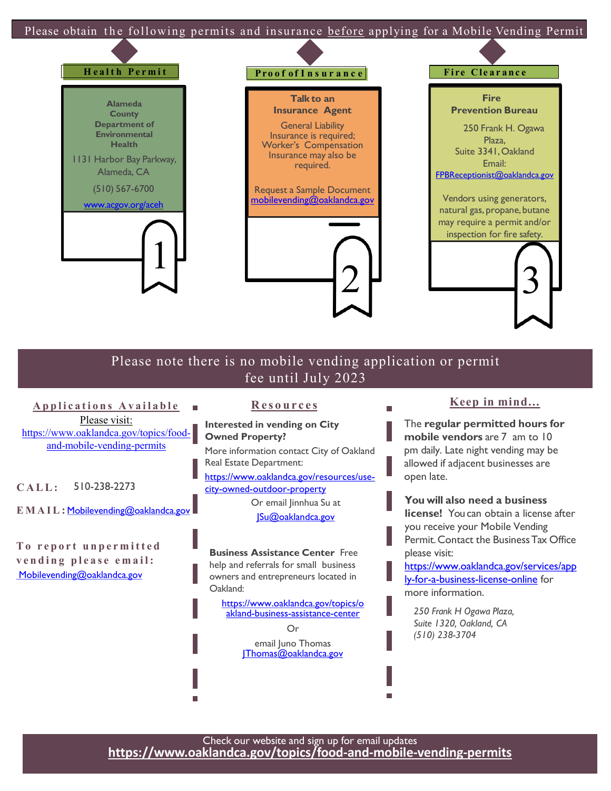

**To report unpermitted vending please email:** [Mobilevending@oaklandca.gov](mailto:Mobilevending@oaklandca.gov)

[JSu@oaklandca.gov](mailto:JSu@oaklandca.gov)

**Business Assistance Center** Free help and referrals for small business owners and entrepreneurs located in Oakland:

[https://www.oaklandca.gov/topics/o](https://www.oaklandca.gov/topics/oakland-business-assistance-center) akland-business-assistance-center

> Or email Juno Thomas Thomas@oaklandca.gov

**license!** You can obtain a license after you receive your Mobile Vending Permit.Contact the BusinessTax Office please visit:

[https://www.oaklandca.gov/services/app](https://www.oaklandca.gov/services/apply-for-a-business-license-online) ly-for-a-business-license-online for more information.

*250 Frank H Ogawa Plaza, Suite 1320, Oakland, CA (510) 238-3704*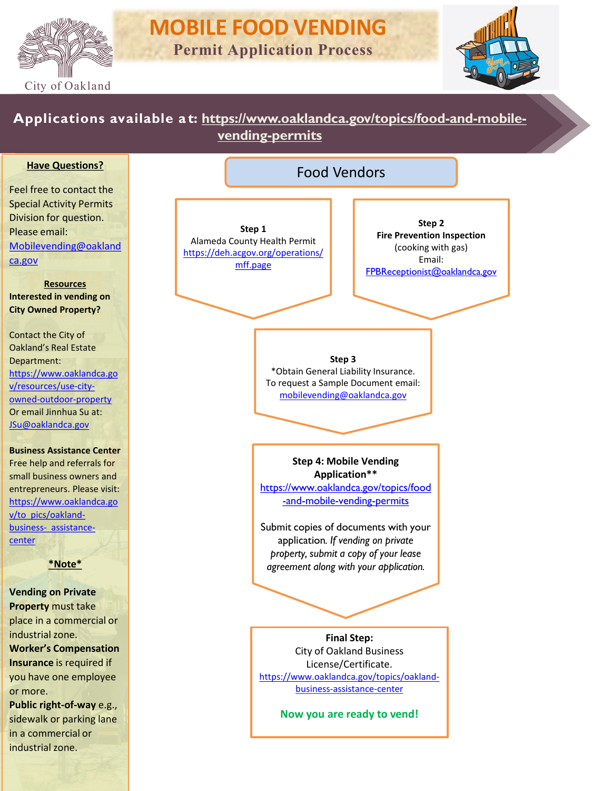



# **Applications available a t: [https://www.oaklandca.gov/topics/food-and-mobile](https://www.oaklandca.gov/topics/food-and-mobile-vending-permits)vending-permits**

### **Have Questions?**

Feel free to contact the Special Activity Permits Division for question. Please email: [Mobilevending@oakland](mailto:Mobilefoodvending@oaklandca.gov) ca.gov

**Resources Interested in vending on City Owned Property?**

Contact the City of Oakland's Real Estate Department: [https://www.oaklandca.go](https://www.oaklandca.gov/resources/use-city-owned-outdoor-property) v/resources/use-cityowned-outdoor-property Or email Jinnhua Su at: [JSu@oaklandca.gov](mailto:JSu@oaklandca.gov)

**Business Assistance Center**  Free help and referrals for small business owners and entrepreneurs. Please visit: [https://www.oaklandca.go](https://www.oaklandca.gov/topics/oakland-business-assistance-center) v/to pics/oaklandbusiness- assistancecenter

#### **\*Note\***

**Vending on Private Property** must take place in a commercial or industrial zone. **Worker's Compensation** 

**Insurance** is required if you have one employee or more.

**Public right-of-way** e.g., sidewalk or parking lane in a commercial or industrial zone.

| Step 1                            |
|-----------------------------------|
| Alameda County Health Permit      |
| https://deh.acgov.org/operations/ |
| mff.page                          |

**Step 2 Fire Prevention Inspection**  (cooking with gas) Email: [FPBReceptionist@oaklandca.gov](mailto:FPBReceptionist@oaklandca.gov)

#### **Step 3**

\*Obtain General Liability Insurance. To request a Sample Document email: [mobilevending@oaklandca.gov](mailto:mobilevending@oaklandca.gov)

Food Vendors

**Step 4: Mobile Vending Application\*\***

[https://www.oaklandca.gov/topics/food](https://www.oaklandca.gov/topics/food-and-mobile-vending-permits) -and-mobile-vending-permits

Submit copies of documents with your application*. If vending on private property, submit a copy of your lease agreement along with your application.*

**Final Step:** City of Oakland Business License/Certificate. [https://www.oaklandca.gov/topics/oakland](https://www.oaklandca.gov/topics/oakland-business-assistance-center)business-assistance-center

**Now you are ready to vend!**